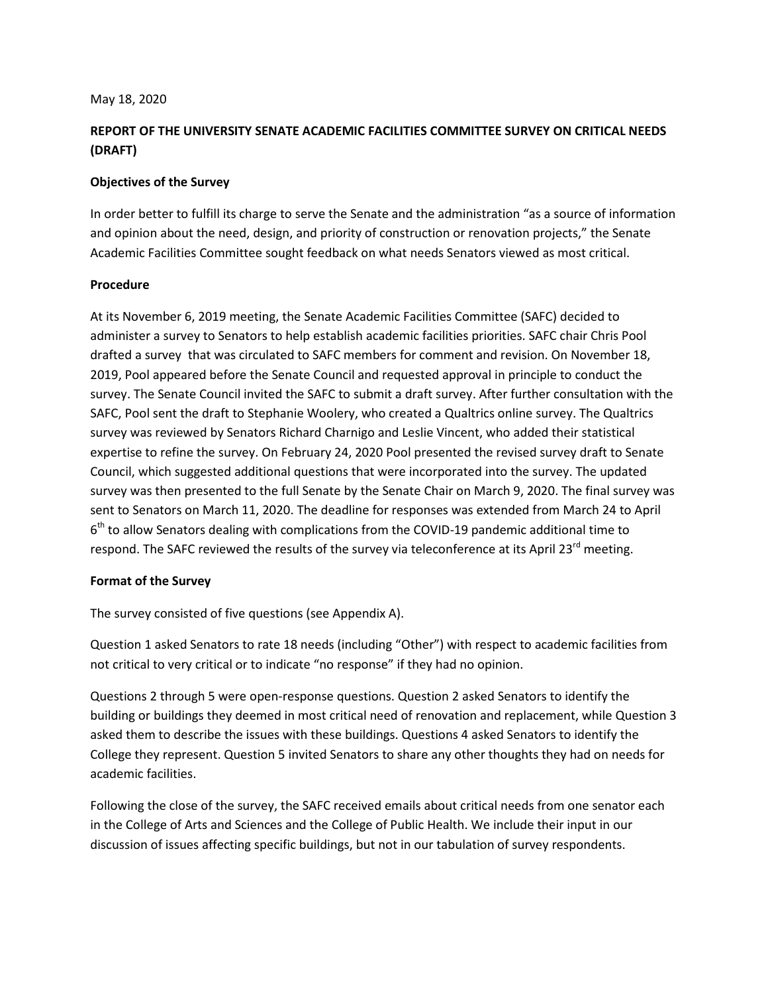#### May 18, 2020

## **REPORT OF THE UNIVERSITY SENATE ACADEMIC FACILITIES COMMITTEE SURVEY ON CRITICAL NEEDS (DRAFT)**

## **Objectives of the Survey**

In order better to fulfill its charge to serve the Senate and the administration "as a source of information and opinion about the need, design, and priority of construction or renovation projects," the Senate Academic Facilities Committee sought feedback on what needs Senators viewed as most critical.

#### **Procedure**

At its November 6, 2019 meeting, the Senate Academic Facilities Committee (SAFC) decided to administer a survey to Senators to help establish academic facilities priorities. SAFC chair Chris Pool drafted a survey that was circulated to SAFC members for comment and revision. On November 18, 2019, Pool appeared before the Senate Council and requested approval in principle to conduct the survey. The Senate Council invited the SAFC to submit a draft survey. After further consultation with the SAFC, Pool sent the draft to Stephanie Woolery, who created a Qualtrics online survey. The Qualtrics survey was reviewed by Senators Richard Charnigo and Leslie Vincent, who added their statistical expertise to refine the survey. On February 24, 2020 Pool presented the revised survey draft to Senate Council, which suggested additional questions that were incorporated into the survey. The updated survey was then presented to the full Senate by the Senate Chair on March 9, 2020. The final survey was sent to Senators on March 11, 2020. The deadline for responses was extended from March 24 to April  $6<sup>th</sup>$  to allow Senators dealing with complications from the COVID-19 pandemic additional time to respond. The SAFC reviewed the results of the survey via teleconference at its April 23<sup>rd</sup> meeting.

## **Format of the Survey**

The survey consisted of five questions (see Appendix A).

Question 1 asked Senators to rate 18 needs (including "Other") with respect to academic facilities from not critical to very critical or to indicate "no response" if they had no opinion.

Questions 2 through 5 were open-response questions. Question 2 asked Senators to identify the building or buildings they deemed in most critical need of renovation and replacement, while Question 3 asked them to describe the issues with these buildings. Questions 4 asked Senators to identify the College they represent. Question 5 invited Senators to share any other thoughts they had on needs for academic facilities.

Following the close of the survey, the SAFC received emails about critical needs from one senator each in the College of Arts and Sciences and the College of Public Health. We include their input in our discussion of issues affecting specific buildings, but not in our tabulation of survey respondents.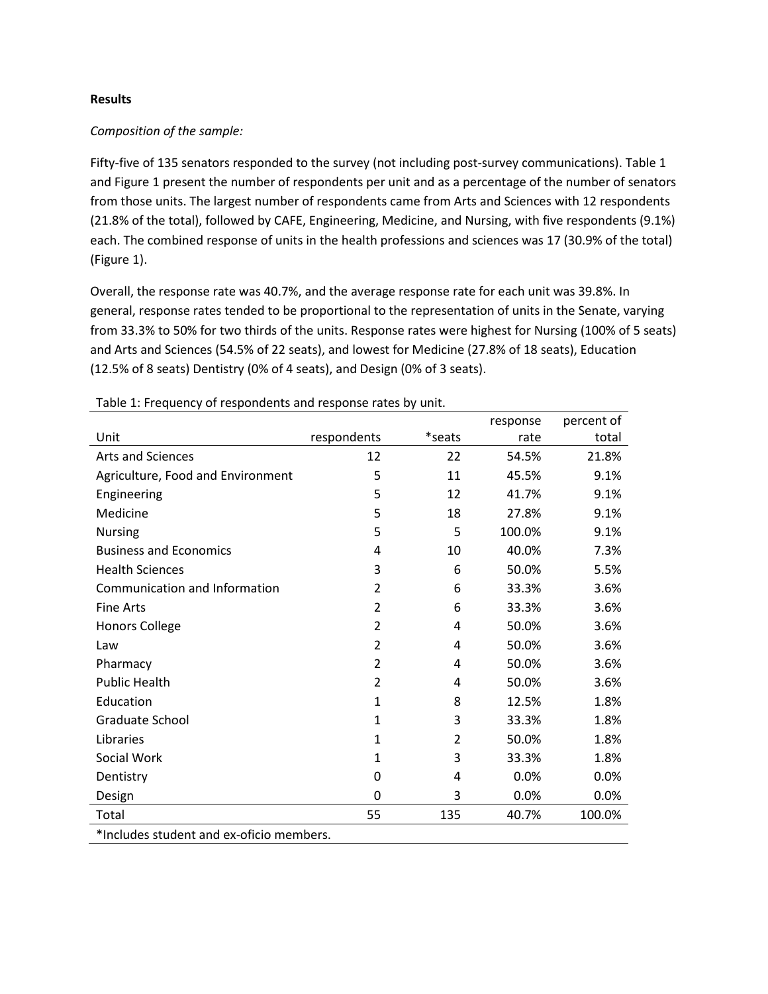#### **Results**

## *Composition of the sample:*

Fifty-five of 135 senators responded to the survey (not including post-survey communications). Table 1 and Figure 1 present the number of respondents per unit and as a percentage of the number of senators from those units. The largest number of respondents came from Arts and Sciences with 12 respondents (21.8% of the total), followed by CAFE, Engineering, Medicine, and Nursing, with five respondents (9.1%) each. The combined response of units in the health professions and sciences was 17 (30.9% of the total) (Figure 1).

Overall, the response rate was 40.7%, and the average response rate for each unit was 39.8%. In general, response rates tended to be proportional to the representation of units in the Senate, varying from 33.3% to 50% for two thirds of the units. Response rates were highest for Nursing (100% of 5 seats) and Arts and Sciences (54.5% of 22 seats), and lowest for Medicine (27.8% of 18 seats), Education (12.5% of 8 seats) Dentistry (0% of 4 seats), and Design (0% of 3 seats).

|                                          |                |                | response | percent of |
|------------------------------------------|----------------|----------------|----------|------------|
| Unit                                     | respondents    | *seats         | rate     | total      |
| <b>Arts and Sciences</b>                 | 12             | 22             | 54.5%    | 21.8%      |
| Agriculture, Food and Environment        | 5              | 11             | 45.5%    | 9.1%       |
| Engineering                              | 5              | 12             | 41.7%    | 9.1%       |
| Medicine                                 | 5              | 18             | 27.8%    | 9.1%       |
| <b>Nursing</b>                           | 5              | 5              | 100.0%   | 9.1%       |
| <b>Business and Economics</b>            | 4              | 10             | 40.0%    | 7.3%       |
| <b>Health Sciences</b>                   | 3              | 6              | 50.0%    | 5.5%       |
| Communication and Information            | 2              | 6              | 33.3%    | 3.6%       |
| <b>Fine Arts</b>                         | $\overline{2}$ | 6              | 33.3%    | 3.6%       |
| <b>Honors College</b>                    | $\overline{2}$ | 4              | 50.0%    | 3.6%       |
| Law                                      | $\overline{2}$ | 4              | 50.0%    | 3.6%       |
| Pharmacy                                 | $\overline{2}$ | 4              | 50.0%    | 3.6%       |
| <b>Public Health</b>                     | $\overline{2}$ | 4              | 50.0%    | 3.6%       |
| Education                                | $\mathbf{1}$   | 8              | 12.5%    | 1.8%       |
| Graduate School                          | $\mathbf{1}$   | 3              | 33.3%    | 1.8%       |
| Libraries                                | 1              | $\overline{2}$ | 50.0%    | 1.8%       |
| Social Work                              | 1              | 3              | 33.3%    | 1.8%       |
| Dentistry                                | $\mathbf 0$    | 4              | 0.0%     | 0.0%       |
| Design                                   | 0              | 3              | 0.0%     | 0.0%       |
| Total                                    | 55             | 135            | 40.7%    | 100.0%     |
| *Includes student and ex-oficio members. |                |                |          |            |

Table 1: Frequency of respondents and response rates by unit.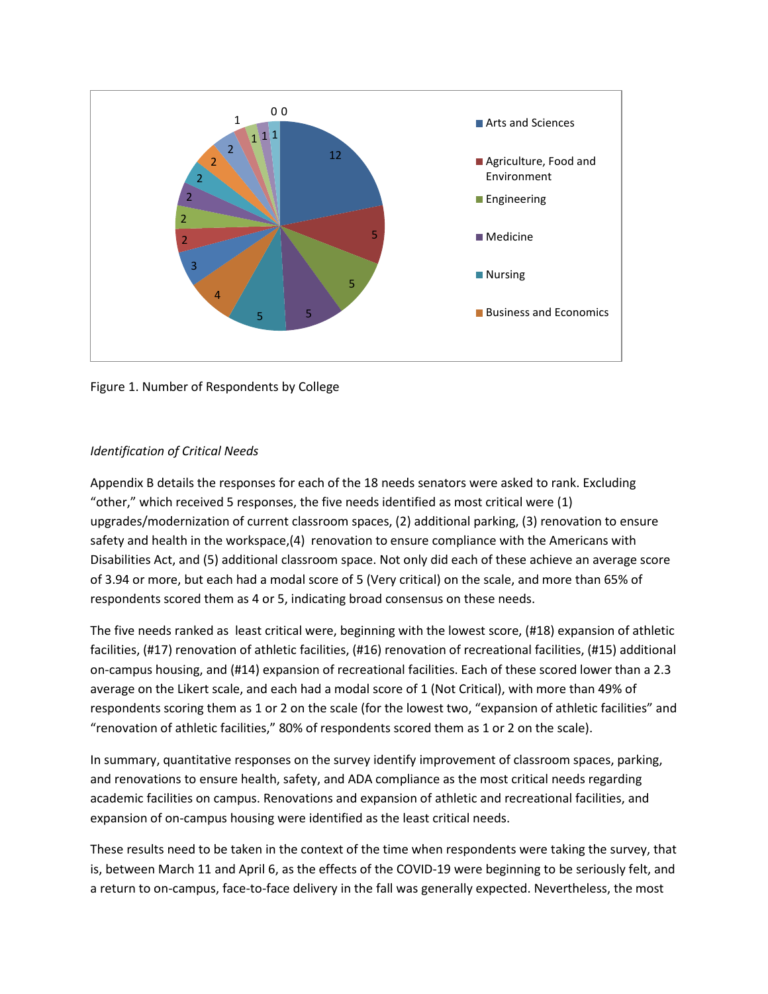

Figure 1. Number of Respondents by College

## *Identification of Critical Needs*

Appendix B details the responses for each of the 18 needs senators were asked to rank. Excluding "other," which received 5 responses, the five needs identified as most critical were (1) upgrades/modernization of current classroom spaces, (2) additional parking, (3) renovation to ensure safety and health in the workspace,(4) renovation to ensure compliance with the Americans with Disabilities Act, and (5) additional classroom space. Not only did each of these achieve an average score of 3.94 or more, but each had a modal score of 5 (Very critical) on the scale, and more than 65% of respondents scored them as 4 or 5, indicating broad consensus on these needs.

The five needs ranked as least critical were, beginning with the lowest score, (#18) expansion of athletic facilities, (#17) renovation of athletic facilities, (#16) renovation of recreational facilities, (#15) additional on-campus housing, and (#14) expansion of recreational facilities. Each of these scored lower than a 2.3 average on the Likert scale, and each had a modal score of 1 (Not Critical), with more than 49% of respondents scoring them as 1 or 2 on the scale (for the lowest two, "expansion of athletic facilities" and "renovation of athletic facilities," 80% of respondents scored them as 1 or 2 on the scale).

In summary, quantitative responses on the survey identify improvement of classroom spaces, parking, and renovations to ensure health, safety, and ADA compliance as the most critical needs regarding academic facilities on campus. Renovations and expansion of athletic and recreational facilities, and expansion of on-campus housing were identified as the least critical needs.

These results need to be taken in the context of the time when respondents were taking the survey, that is, between March 11 and April 6, as the effects of the COVID-19 were beginning to be seriously felt, and a return to on-campus, face-to-face delivery in the fall was generally expected. Nevertheless, the most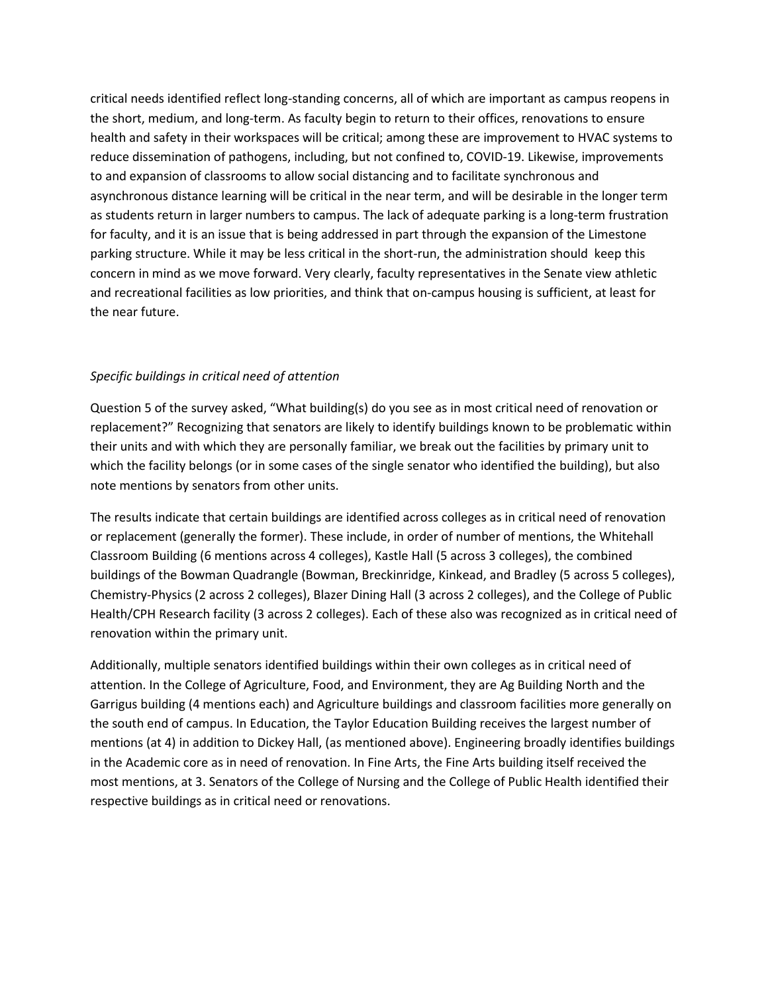critical needs identified reflect long-standing concerns, all of which are important as campus reopens in the short, medium, and long-term. As faculty begin to return to their offices, renovations to ensure health and safety in their workspaces will be critical; among these are improvement to HVAC systems to reduce dissemination of pathogens, including, but not confined to, COVID-19. Likewise, improvements to and expansion of classrooms to allow social distancing and to facilitate synchronous and asynchronous distance learning will be critical in the near term, and will be desirable in the longer term as students return in larger numbers to campus. The lack of adequate parking is a long-term frustration for faculty, and it is an issue that is being addressed in part through the expansion of the Limestone parking structure. While it may be less critical in the short-run, the administration should keep this concern in mind as we move forward. Very clearly, faculty representatives in the Senate view athletic and recreational facilities as low priorities, and think that on-campus housing is sufficient, at least for the near future.

## *Specific buildings in critical need of attention*

Question 5 of the survey asked, "What building(s) do you see as in most critical need of renovation or replacement?" Recognizing that senators are likely to identify buildings known to be problematic within their units and with which they are personally familiar, we break out the facilities by primary unit to which the facility belongs (or in some cases of the single senator who identified the building), but also note mentions by senators from other units.

The results indicate that certain buildings are identified across colleges as in critical need of renovation or replacement (generally the former). These include, in order of number of mentions, the Whitehall Classroom Building (6 mentions across 4 colleges), Kastle Hall (5 across 3 colleges), the combined buildings of the Bowman Quadrangle (Bowman, Breckinridge, Kinkead, and Bradley (5 across 5 colleges), Chemistry-Physics (2 across 2 colleges), Blazer Dining Hall (3 across 2 colleges), and the College of Public Health/CPH Research facility (3 across 2 colleges). Each of these also was recognized as in critical need of renovation within the primary unit.

Additionally, multiple senators identified buildings within their own colleges as in critical need of attention. In the College of Agriculture, Food, and Environment, they are Ag Building North and the Garrigus building (4 mentions each) and Agriculture buildings and classroom facilities more generally on the south end of campus. In Education, the Taylor Education Building receives the largest number of mentions (at 4) in addition to Dickey Hall, (as mentioned above). Engineering broadly identifies buildings in the Academic core as in need of renovation. In Fine Arts, the Fine Arts building itself received the most mentions, at 3. Senators of the College of Nursing and the College of Public Health identified their respective buildings as in critical need or renovations.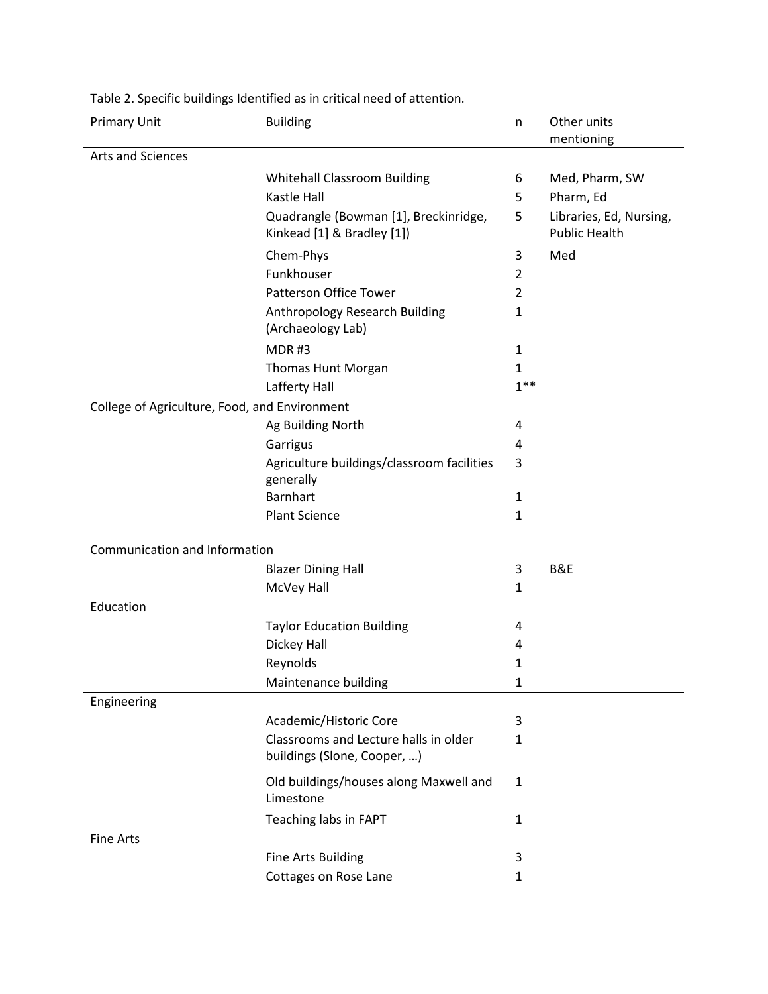| <b>Primary Unit</b>                           | <b>Building</b>                                                     | n            | Other units                                     |
|-----------------------------------------------|---------------------------------------------------------------------|--------------|-------------------------------------------------|
|                                               |                                                                     |              | mentioning                                      |
| Arts and Sciences                             |                                                                     |              |                                                 |
|                                               | <b>Whitehall Classroom Building</b>                                 | 6            | Med, Pharm, SW                                  |
|                                               | Kastle Hall                                                         | 5            | Pharm, Ed                                       |
|                                               | Quadrangle (Bowman [1], Breckinridge,<br>Kinkead [1] & Bradley [1]) | 5            | Libraries, Ed, Nursing,<br><b>Public Health</b> |
|                                               | Chem-Phys                                                           | 3            | Med                                             |
|                                               | Funkhouser                                                          | 2            |                                                 |
|                                               | Patterson Office Tower                                              | 2            |                                                 |
|                                               | Anthropology Research Building<br>(Archaeology Lab)                 | 1            |                                                 |
|                                               | MDR#3                                                               | 1            |                                                 |
|                                               | Thomas Hunt Morgan                                                  | $\mathbf{1}$ |                                                 |
|                                               | Lafferty Hall                                                       | $1***$       |                                                 |
| College of Agriculture, Food, and Environment |                                                                     |              |                                                 |
|                                               | Ag Building North                                                   | 4            |                                                 |
|                                               | Garrigus                                                            | 4            |                                                 |
|                                               | Agriculture buildings/classroom facilities                          | 3            |                                                 |
|                                               | generally                                                           |              |                                                 |
|                                               | <b>Barnhart</b>                                                     | 1            |                                                 |
|                                               | <b>Plant Science</b>                                                | $\mathbf{1}$ |                                                 |
|                                               |                                                                     |              |                                                 |
| Communication and Information                 |                                                                     |              |                                                 |
|                                               | <b>Blazer Dining Hall</b>                                           | 3            | B&E                                             |
|                                               | McVey Hall                                                          | $\mathbf{1}$ |                                                 |
| Education                                     |                                                                     |              |                                                 |
|                                               | <b>Taylor Education Building</b>                                    | 4            |                                                 |
|                                               | Dickey Hall                                                         | 4            |                                                 |
|                                               | Reynolds                                                            | 1            |                                                 |
|                                               | Maintenance building                                                | 1            |                                                 |
| Engineering                                   |                                                                     |              |                                                 |
|                                               | Academic/Historic Core                                              | 3            |                                                 |
|                                               | Classrooms and Lecture halls in older                               | 1            |                                                 |
|                                               | buildings (Slone, Cooper, )                                         |              |                                                 |
|                                               | Old buildings/houses along Maxwell and<br>Limestone                 | $\mathbf{1}$ |                                                 |
|                                               | Teaching labs in FAPT                                               | $\mathbf{1}$ |                                                 |
| Fine Arts                                     |                                                                     |              |                                                 |
|                                               | Fine Arts Building                                                  | 3            |                                                 |
|                                               | Cottages on Rose Lane                                               | 1            |                                                 |

Table 2. Specific buildings Identified as in critical need of attention.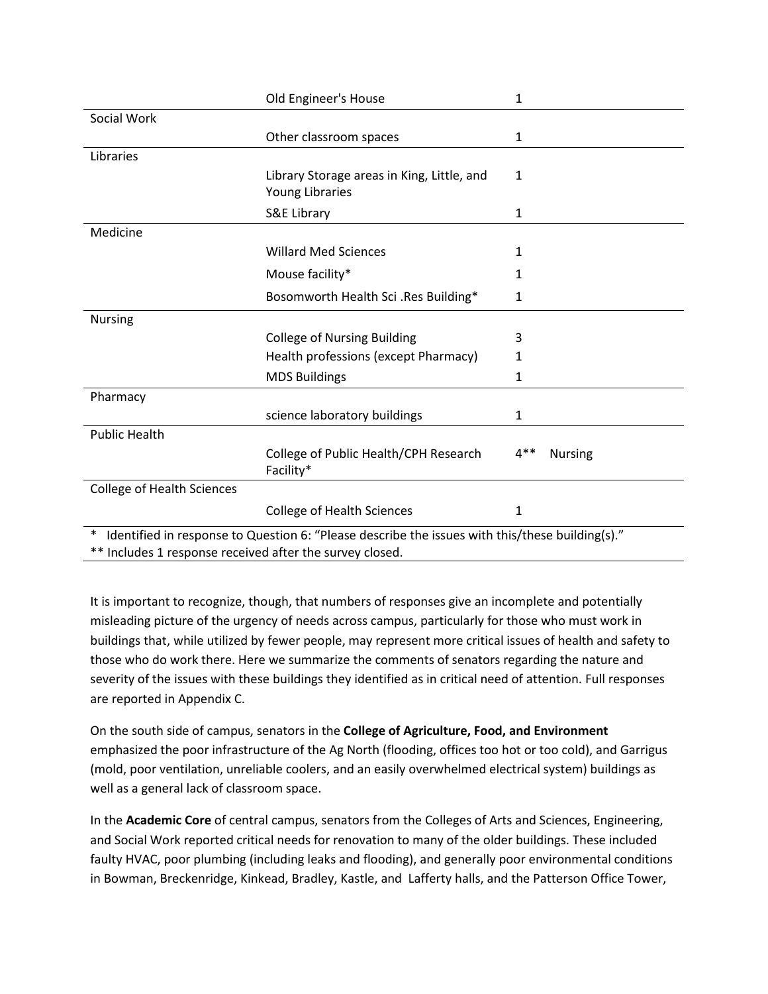|                                                          | Old Engineer's House                                                                            | 1            |                |
|----------------------------------------------------------|-------------------------------------------------------------------------------------------------|--------------|----------------|
| Social Work                                              |                                                                                                 |              |                |
|                                                          | Other classroom spaces                                                                          | $\mathbf{1}$ |                |
| Libraries                                                |                                                                                                 |              |                |
|                                                          | Library Storage areas in King, Little, and<br>Young Libraries                                   | 1            |                |
|                                                          | S&E Library                                                                                     | 1            |                |
| Medicine                                                 |                                                                                                 |              |                |
|                                                          | <b>Willard Med Sciences</b>                                                                     | 1            |                |
|                                                          | Mouse facility*                                                                                 | 1            |                |
|                                                          | Bosomworth Health Sci .Res Building*                                                            | 1            |                |
| <b>Nursing</b>                                           |                                                                                                 |              |                |
|                                                          | <b>College of Nursing Building</b>                                                              | 3            |                |
|                                                          | Health professions (except Pharmacy)                                                            | 1            |                |
|                                                          | <b>MDS Buildings</b>                                                                            | 1            |                |
| Pharmacy                                                 |                                                                                                 |              |                |
|                                                          | science laboratory buildings                                                                    | 1            |                |
| <b>Public Health</b>                                     |                                                                                                 |              |                |
|                                                          | College of Public Health/CPH Research<br>Facility*                                              | $4**$        | <b>Nursing</b> |
| <b>College of Health Sciences</b>                        |                                                                                                 |              |                |
|                                                          | <b>College of Health Sciences</b>                                                               | 1            |                |
| $\ast$                                                   | Identified in response to Question 6: "Please describe the issues with this/these building(s)." |              |                |
| ** Includes 1 response received after the survey closed. |                                                                                                 |              |                |

It is important to recognize, though, that numbers of responses give an incomplete and potentially misleading picture of the urgency of needs across campus, particularly for those who must work in buildings that, while utilized by fewer people, may represent more critical issues of health and safety to those who do work there. Here we summarize the comments of senators regarding the nature and severity of the issues with these buildings they identified as in critical need of attention. Full responses are reported in Appendix C.

On the south side of campus, senators in the **College of Agriculture, Food, and Environment** emphasized the poor infrastructure of the Ag North (flooding, offices too hot or too cold), and Garrigus (mold, poor ventilation, unreliable coolers, and an easily overwhelmed electrical system) buildings as well as a general lack of classroom space.

In the **Academic Core** of central campus, senators from the Colleges of Arts and Sciences, Engineering, and Social Work reported critical needs for renovation to many of the older buildings. These included faulty HVAC, poor plumbing (including leaks and flooding), and generally poor environmental conditions in Bowman, Breckenridge, Kinkead, Bradley, Kastle, and Lafferty halls, and the Patterson Office Tower,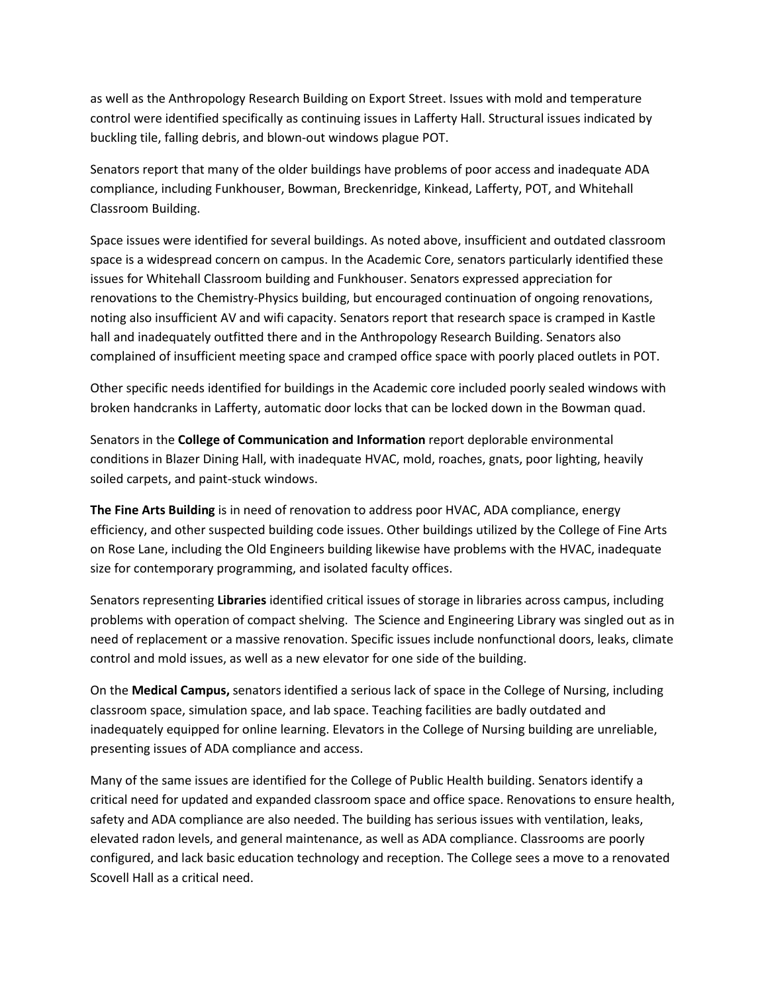as well as the Anthropology Research Building on Export Street. Issues with mold and temperature control were identified specifically as continuing issues in Lafferty Hall. Structural issues indicated by buckling tile, falling debris, and blown-out windows plague POT.

Senators report that many of the older buildings have problems of poor access and inadequate ADA compliance, including Funkhouser, Bowman, Breckenridge, Kinkead, Lafferty, POT, and Whitehall Classroom Building.

Space issues were identified for several buildings. As noted above, insufficient and outdated classroom space is a widespread concern on campus. In the Academic Core, senators particularly identified these issues for Whitehall Classroom building and Funkhouser. Senators expressed appreciation for renovations to the Chemistry-Physics building, but encouraged continuation of ongoing renovations, noting also insufficient AV and wifi capacity. Senators report that research space is cramped in Kastle hall and inadequately outfitted there and in the Anthropology Research Building. Senators also complained of insufficient meeting space and cramped office space with poorly placed outlets in POT.

Other specific needs identified for buildings in the Academic core included poorly sealed windows with broken handcranks in Lafferty, automatic door locks that can be locked down in the Bowman quad.

Senators in the **College of Communication and Information** report deplorable environmental conditions in Blazer Dining Hall, with inadequate HVAC, mold, roaches, gnats, poor lighting, heavily soiled carpets, and paint-stuck windows.

**The Fine Arts Building** is in need of renovation to address poor HVAC, ADA compliance, energy efficiency, and other suspected building code issues. Other buildings utilized by the College of Fine Arts on Rose Lane, including the Old Engineers building likewise have problems with the HVAC, inadequate size for contemporary programming, and isolated faculty offices.

Senators representing **Libraries** identified critical issues of storage in libraries across campus, including problems with operation of compact shelving. The Science and Engineering Library was singled out as in need of replacement or a massive renovation. Specific issues include nonfunctional doors, leaks, climate control and mold issues, as well as a new elevator for one side of the building.

On the **Medical Campus,** senators identified a serious lack of space in the College of Nursing, including classroom space, simulation space, and lab space. Teaching facilities are badly outdated and inadequately equipped for online learning. Elevators in the College of Nursing building are unreliable, presenting issues of ADA compliance and access.

Many of the same issues are identified for the College of Public Health building. Senators identify a critical need for updated and expanded classroom space and office space. Renovations to ensure health, safety and ADA compliance are also needed. The building has serious issues with ventilation, leaks, elevated radon levels, and general maintenance, as well as ADA compliance. Classrooms are poorly configured, and lack basic education technology and reception. The College sees a move to a renovated Scovell Hall as a critical need.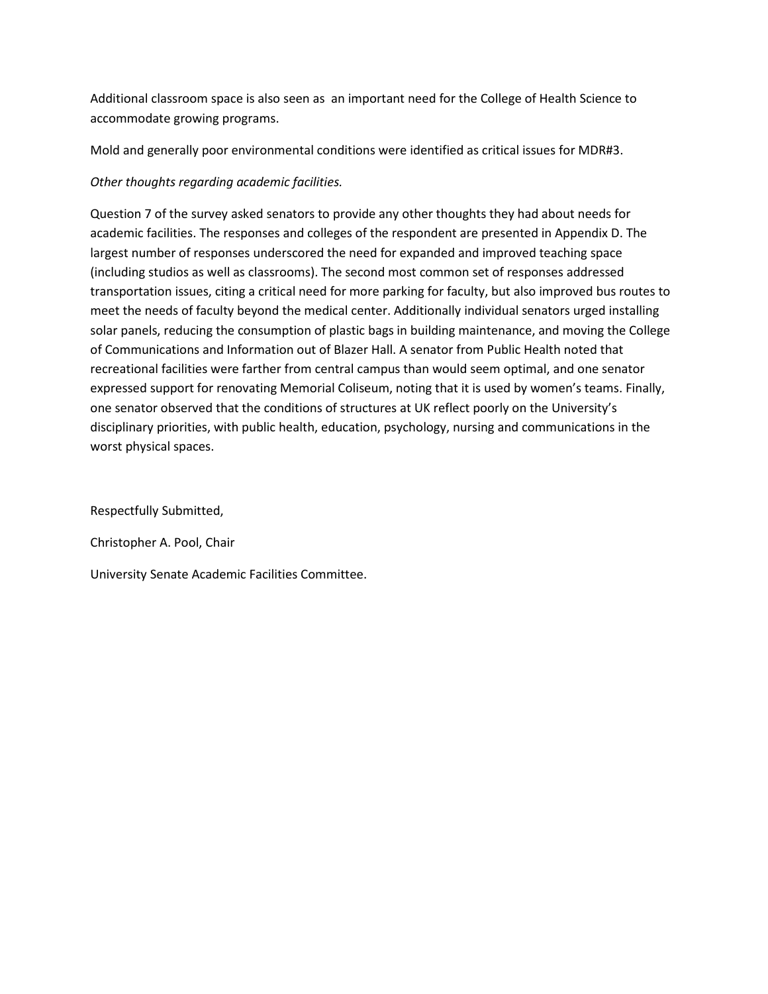Additional classroom space is also seen as an important need for the College of Health Science to accommodate growing programs.

Mold and generally poor environmental conditions were identified as critical issues for MDR#3.

## *Other thoughts regarding academic facilities.*

Question 7 of the survey asked senators to provide any other thoughts they had about needs for academic facilities. The responses and colleges of the respondent are presented in Appendix D. The largest number of responses underscored the need for expanded and improved teaching space (including studios as well as classrooms). The second most common set of responses addressed transportation issues, citing a critical need for more parking for faculty, but also improved bus routes to meet the needs of faculty beyond the medical center. Additionally individual senators urged installing solar panels, reducing the consumption of plastic bags in building maintenance, and moving the College of Communications and Information out of Blazer Hall. A senator from Public Health noted that recreational facilities were farther from central campus than would seem optimal, and one senator expressed support for renovating Memorial Coliseum, noting that it is used by women's teams. Finally, one senator observed that the conditions of structures at UK reflect poorly on the University's disciplinary priorities, with public health, education, psychology, nursing and communications in the worst physical spaces.

Respectfully Submitted,

Christopher A. Pool, Chair

University Senate Academic Facilities Committee.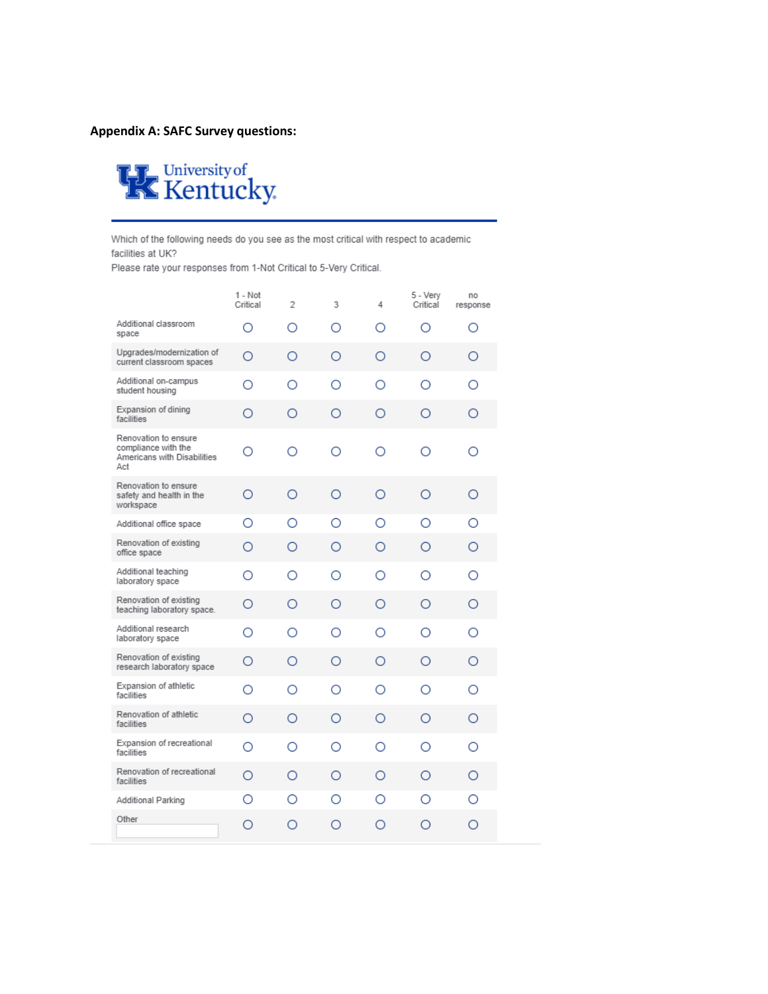## **Appendix A: SAFC Survey questions:**



Which of the following needs do you see as the most critical with respect to academic facilities at UK?

Please rate your responses from 1-Not Critical to 5-Very Critical.

|                                                                                   | 1 - Not<br>Critical | $\overline{2}$ | 3 | 4 | 5 - Very<br>Critical | no<br>response |
|-----------------------------------------------------------------------------------|---------------------|----------------|---|---|----------------------|----------------|
| Additional classroom<br>space                                                     | Ω                   | Ο              | Ο | ∩ | Ο                    | Ο              |
| Upgrades/modernization of<br>current classroom spaces                             | O                   | Ω              | O | Ο | Ο                    | Ο              |
| Additional on-campus<br>student housing                                           | Ο                   | Ο              | Ο | Ο | ∩                    | Ο              |
| Expansion of dining<br>facilities                                                 | Ο                   | Ο              | Ο | Ο | Ο                    | Ο              |
| Renovation to ensure<br>compliance with the<br>Americans with Disabilities<br>Act | ∩                   | ∩              | ∩ | ∩ | ∩                    | ∩              |
| Renovation to ensure<br>safety and health in the<br>workspace                     | Ω                   | Ο              | Ο | Ο | Ω                    | Ο              |
| Additional office space                                                           | Ο                   | Ο              | Ο | Ο | Ο                    | Ο              |
| Renovation of existing<br>office space                                            | Ο                   | Ω              | O | ∩ | О                    | Ο              |
| Additional teaching<br>laboratory space                                           | Ω                   | Ω              | Ο | Ω | Ο                    | Ω              |
| Renovation of existing<br>teaching laboratory space.                              | Ο                   | Ο              | Ο | Ο | Ο                    | Ο              |
| Additional research<br>laboratory space                                           | Ο                   | Ο              | Ο | Ω | Ο                    | Ο              |
| Renovation of existing<br>research laboratory space                               | Ο                   | Ω              | Ο | Ω | Ω                    | О              |
| Expansion of athletic<br>facilities                                               | Ο                   | Ο              | Ο | Ο | Ο                    | Ο              |
| Renovation of athletic<br>facilities                                              | Ο                   | Ο              | Ο | Ο | Ο                    | Ο              |
| Expansion of recreational<br>facilities                                           | ∩                   | Ω              | ∩ | Ω | ∩                    | Ω              |
| Renovation of recreational<br>facilities                                          | Ο                   | Ο              | Ο | Ο | Ο                    | Ο              |
| Additional Parking                                                                | Ο                   | Ο              | O | O | Ο                    | Ο              |
| Other                                                                             | Ο                   | Ο              | O | Ο | ∩                    | ∩              |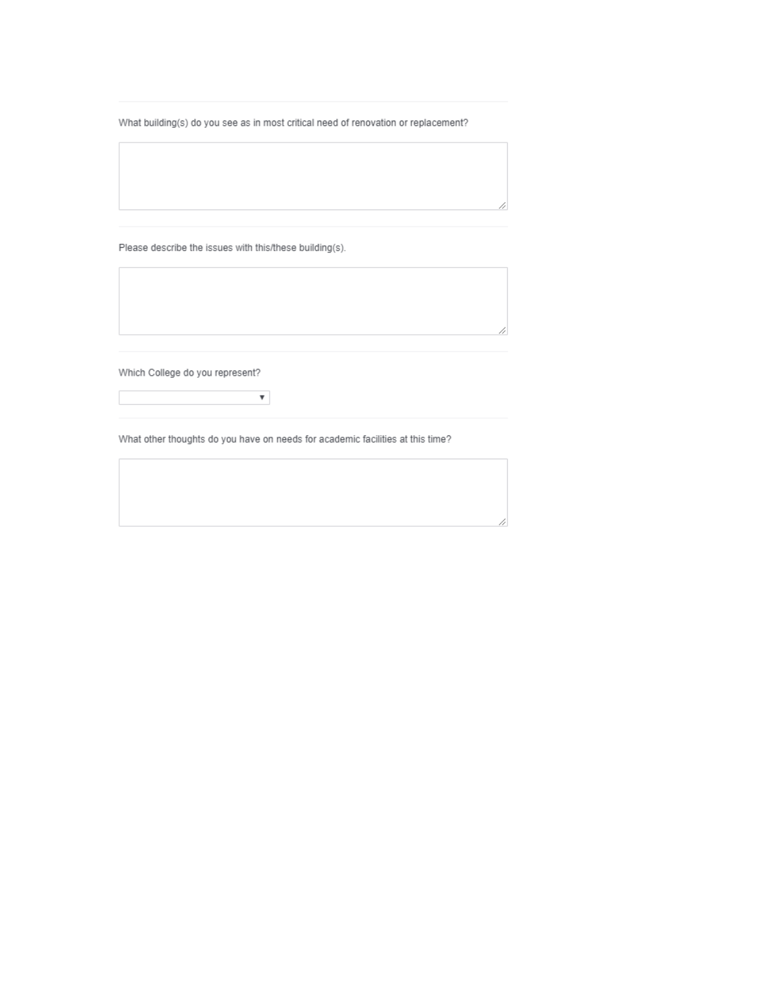What building(s) do you see as in most critical need of renovation or replacement?

Please describe the issues with this/these building(s).

Which College do you represent?

What other thoughts do you have on needs for academic facilities at this time?

 $\pmb{\mathrm{v}}$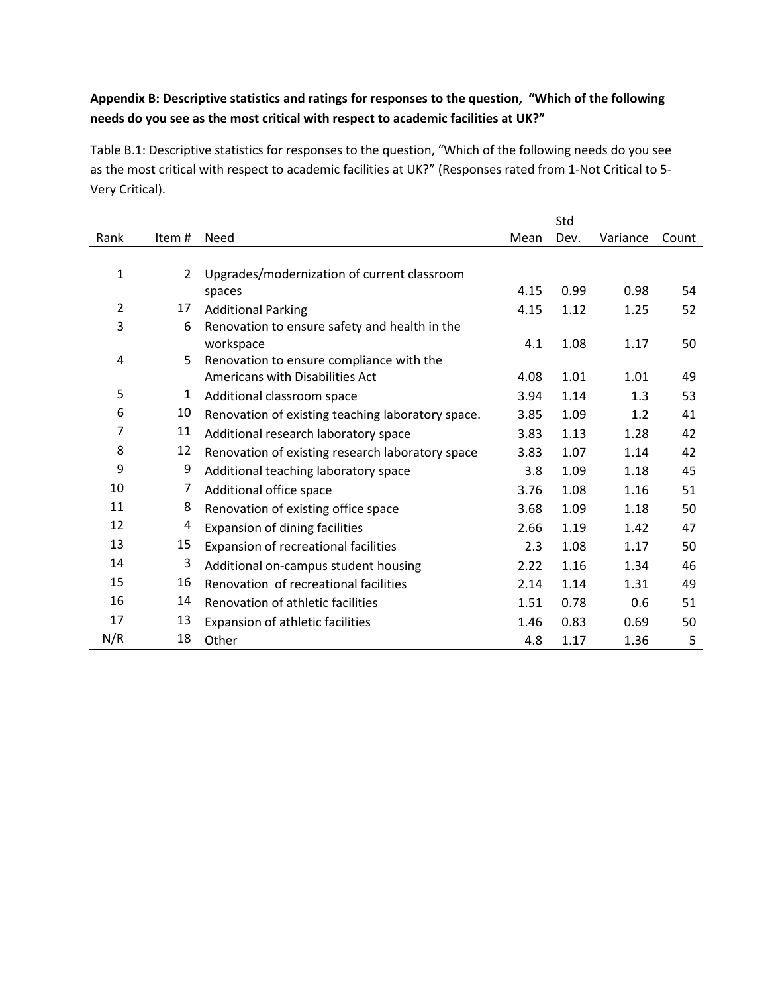## **Appendix B: Descriptive statistics and ratings for responses to the question, "Which of the following needs do you see as the most critical with respect to academic facilities at UK?"**

Table B.1: Descriptive statistics for responses to the question, "Which of the following needs do you see as the most critical with respect to academic facilities at UK?" (Responses rated from 1-Not Critical to 5- Very Critical).

|                |              |                                                   |      | Std  |          |       |
|----------------|--------------|---------------------------------------------------|------|------|----------|-------|
| Rank           | Item #       | Need                                              | Mean | Dev. | Variance | Count |
|                |              |                                                   |      |      |          |       |
| 1              | $\mathbf{2}$ | Upgrades/modernization of current classroom       |      |      |          |       |
|                |              | spaces                                            | 4.15 | 0.99 | 0.98     | 54    |
| $\overline{2}$ | 17           | <b>Additional Parking</b>                         | 4.15 | 1.12 | 1.25     | 52    |
| 3              | 6            | Renovation to ensure safety and health in the     |      |      |          |       |
|                |              | workspace                                         | 4.1  | 1.08 | 1.17     | 50    |
| 4              | 5            | Renovation to ensure compliance with the          |      |      |          |       |
|                |              | <b>Americans with Disabilities Act</b>            | 4.08 | 1.01 | 1.01     | 49    |
| 5              | 1            | Additional classroom space                        | 3.94 | 1.14 | 1.3      | 53    |
| 6              | 10           | Renovation of existing teaching laboratory space. | 3.85 | 1.09 | 1.2      | 41    |
| 7              | 11           | Additional research laboratory space              | 3.83 | 1.13 | 1.28     | 42    |
| 8              | 12           | Renovation of existing research laboratory space  | 3.83 | 1.07 | 1.14     | 42    |
| 9              | 9            | Additional teaching laboratory space              | 3.8  | 1.09 | 1.18     | 45    |
| 10             | 7            | Additional office space                           | 3.76 | 1.08 | 1.16     | 51    |
| 11             | 8            | Renovation of existing office space               | 3.68 | 1.09 | 1.18     | 50    |
| 12             | 4            | Expansion of dining facilities                    | 2.66 | 1.19 | 1.42     | 47    |
| 13             | 15           | Expansion of recreational facilities              | 2.3  | 1.08 | 1.17     | 50    |
| 14             | 3            | Additional on-campus student housing              | 2.22 | 1.16 | 1.34     | 46    |
| 15             | 16           | Renovation of recreational facilities             | 2.14 | 1.14 | 1.31     | 49    |
| 16             | 14           | Renovation of athletic facilities                 | 1.51 | 0.78 | 0.6      | 51    |
| 17             | 13           | Expansion of athletic facilities                  | 1.46 | 0.83 | 0.69     | 50    |
| N/R            | 18           |                                                   |      |      |          |       |
|                |              | Other                                             | 4.8  | 1.17 | 1.36     | 5     |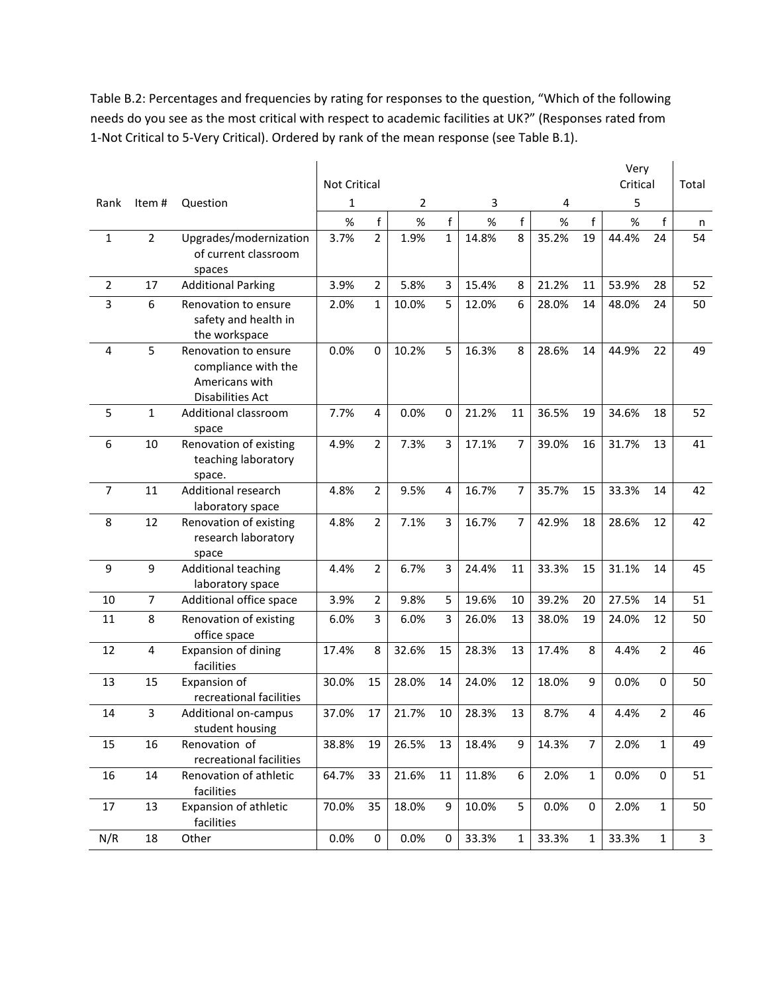Table B.2: Percentages and frequencies by rating for responses to the question, "Which of the following needs do you see as the most critical with respect to academic facilities at UK?" (Responses rated from 1-Not Critical to 5-Very Critical). Ordered by rank of the mean response (see Table B.1).

|                |                |                                              |                     |                |       |              |       |                |       |                | Very     |                |              |
|----------------|----------------|----------------------------------------------|---------------------|----------------|-------|--------------|-------|----------------|-------|----------------|----------|----------------|--------------|
|                |                |                                              | <b>Not Critical</b> |                |       |              |       |                |       |                | Critical |                | Total        |
| Rank           | Item#          | Question                                     | 1                   |                | 2     |              | 3     |                | 4     |                | 5        |                |              |
|                |                |                                              | $\%$                | f              | $\%$  | f            | $\%$  | f              | $\%$  | f              | $\%$     | f              | n            |
| $\mathbf{1}$   | $\overline{2}$ | Upgrades/modernization                       | 3.7%                | $\overline{2}$ | 1.9%  | $\mathbf{1}$ | 14.8% | 8              | 35.2% | 19             | 44.4%    | 24             | 54           |
|                |                | of current classroom                         |                     |                |       |              |       |                |       |                |          |                |              |
|                |                | spaces                                       |                     |                |       |              |       |                |       |                |          |                |              |
| $\overline{2}$ | 17             | <b>Additional Parking</b>                    | 3.9%                | $\overline{2}$ | 5.8%  | 3            | 15.4% | 8              | 21.2% | 11             | 53.9%    | 28             | 52           |
| 3              | 6              | Renovation to ensure<br>safety and health in | 2.0%                | 1              | 10.0% | 5            | 12.0% | 6              | 28.0% | 14             | 48.0%    | 24             | 50           |
|                |                | the workspace                                |                     |                |       |              |       |                |       |                |          |                |              |
| 4              | 5              | Renovation to ensure                         | 0.0%                | 0              | 10.2% | 5            | 16.3% | 8              | 28.6% | 14             | 44.9%    | 22             | 49           |
|                |                | compliance with the                          |                     |                |       |              |       |                |       |                |          |                |              |
|                |                | Americans with                               |                     |                |       |              |       |                |       |                |          |                |              |
|                |                | Disabilities Act                             |                     |                |       |              |       |                |       |                |          |                |              |
| 5              | 1              | Additional classroom                         | 7.7%                | 4              | 0.0%  | $\mathbf 0$  | 21.2% | 11             | 36.5% | 19             | 34.6%    | 18             | 52           |
|                |                | space                                        |                     |                |       |              |       |                |       |                |          |                |              |
| 6              | 10             | Renovation of existing                       | 4.9%                | $\overline{2}$ | 7.3%  | 3            | 17.1% | $\overline{7}$ | 39.0% | 16             | 31.7%    | 13             | 41           |
|                |                | teaching laboratory                          |                     |                |       |              |       |                |       |                |          |                |              |
|                |                | space.                                       |                     |                |       |              |       |                |       |                |          |                |              |
| $\overline{7}$ | 11             | Additional research<br>laboratory space      | 4.8%                | $\overline{2}$ | 9.5%  | 4            | 16.7% | $\overline{7}$ | 35.7% | 15             | 33.3%    | 14             | 42           |
| 8              | 12             | Renovation of existing                       | 4.8%                | $\overline{2}$ | 7.1%  | 3            | 16.7% | $\overline{7}$ | 42.9% | 18             | 28.6%    | 12             | 42           |
|                |                | research laboratory                          |                     |                |       |              |       |                |       |                |          |                |              |
|                |                | space                                        |                     |                |       |              |       |                |       |                |          |                |              |
| 9              | 9              | <b>Additional teaching</b>                   | 4.4%                | $\overline{2}$ | 6.7%  | 3            | 24.4% | 11             | 33.3% | 15             | 31.1%    | 14             | 45           |
|                |                | laboratory space                             |                     |                |       |              |       |                |       |                |          |                |              |
| 10             | $\overline{7}$ | Additional office space                      | 3.9%                | $\overline{2}$ | 9.8%  | 5            | 19.6% | 10             | 39.2% | 20             | 27.5%    | 14             | 51           |
| 11             | 8              | Renovation of existing                       | 6.0%                | 3              | 6.0%  | 3            | 26.0% | 13             | 38.0% | 19             | 24.0%    | 12             | 50           |
|                |                | office space                                 |                     |                |       |              |       |                |       |                |          |                |              |
| 12             | 4              | Expansion of dining                          | 17.4%               | 8              | 32.6% | 15           | 28.3% | 13             | 17.4% | 8              | 4.4%     | $\overline{2}$ | 46           |
|                |                | facilities                                   |                     |                |       |              |       |                |       |                |          |                |              |
| 13             | 15             | Expansion of                                 | 30.0%               | 15             | 28.0% | 14           | 24.0% | 12             | 18.0% | 9              | 0.0%     | $\mathbf 0$    | 50           |
|                |                | recreational facilities                      |                     |                |       |              |       |                |       |                |          |                |              |
| 14             | 3              | Additional on-campus<br>student housing      | 37.0%               | 17             | 21.7% | 10           | 28.3% | 13             | 8.7%  | 4              | 4.4%     | 2              | 46           |
| 15             | 16             | Renovation of                                | 38.8%               | 19             | 26.5% | 13           | 18.4% | 9              | 14.3% | $\overline{7}$ | 2.0%     | $\mathbf{1}$   | 49           |
|                |                | recreational facilities                      |                     |                |       |              |       |                |       |                |          |                |              |
| 16             | 14             | Renovation of athletic                       | 64.7%               | 33             | 21.6% | 11           | 11.8% | 6              | 2.0%  | $\mathbf{1}$   | 0.0%     | 0              | 51           |
|                |                | facilities                                   |                     |                |       |              |       |                |       |                |          |                |              |
| 17             | 13             | Expansion of athletic                        | 70.0%               | 35             | 18.0% | 9            | 10.0% | 5              | 0.0%  | 0              | 2.0%     | $\mathbf{1}$   | 50           |
|                |                | facilities                                   |                     |                |       |              |       |                |       |                |          |                |              |
| N/R            | $18\,$         | Other                                        | 0.0%                | $\pmb{0}$      | 0.0%  | 0            | 33.3% | $\mathbf{1}$   | 33.3% | $\mathbf{1}$   | 33.3%    | $\mathbf{1}$   | $\mathbf{3}$ |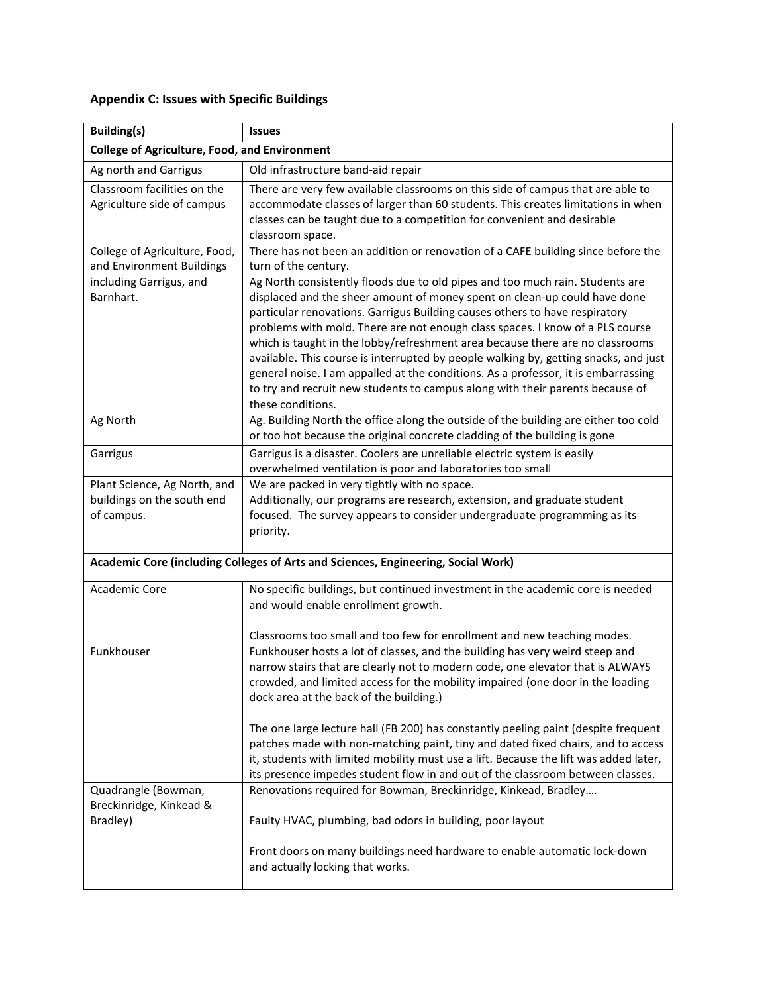# **Appendix C: Issues with Specific Buildings**

| <b>Building(s)</b>                                                                                 | <b>Issues</b>                                                                                                                                                                                                                                                                                                                                                                                                                                                                                                                                                                                                                                                                                                                                                                                               |
|----------------------------------------------------------------------------------------------------|-------------------------------------------------------------------------------------------------------------------------------------------------------------------------------------------------------------------------------------------------------------------------------------------------------------------------------------------------------------------------------------------------------------------------------------------------------------------------------------------------------------------------------------------------------------------------------------------------------------------------------------------------------------------------------------------------------------------------------------------------------------------------------------------------------------|
| <b>College of Agriculture, Food, and Environment</b>                                               |                                                                                                                                                                                                                                                                                                                                                                                                                                                                                                                                                                                                                                                                                                                                                                                                             |
| Ag north and Garrigus                                                                              | Old infrastructure band-aid repair                                                                                                                                                                                                                                                                                                                                                                                                                                                                                                                                                                                                                                                                                                                                                                          |
| Classroom facilities on the<br>Agriculture side of campus                                          | There are very few available classrooms on this side of campus that are able to<br>accommodate classes of larger than 60 students. This creates limitations in when<br>classes can be taught due to a competition for convenient and desirable<br>classroom space.                                                                                                                                                                                                                                                                                                                                                                                                                                                                                                                                          |
| College of Agriculture, Food,<br>and Environment Buildings<br>including Garrigus, and<br>Barnhart. | There has not been an addition or renovation of a CAFE building since before the<br>turn of the century.<br>Ag North consistently floods due to old pipes and too much rain. Students are<br>displaced and the sheer amount of money spent on clean-up could have done<br>particular renovations. Garrigus Building causes others to have respiratory<br>problems with mold. There are not enough class spaces. I know of a PLS course<br>which is taught in the lobby/refreshment area because there are no classrooms<br>available. This course is interrupted by people walking by, getting snacks, and just<br>general noise. I am appalled at the conditions. As a professor, it is embarrassing<br>to try and recruit new students to campus along with their parents because of<br>these conditions. |
| Ag North                                                                                           | Ag. Building North the office along the outside of the building are either too cold<br>or too hot because the original concrete cladding of the building is gone                                                                                                                                                                                                                                                                                                                                                                                                                                                                                                                                                                                                                                            |
| Garrigus                                                                                           | Garrigus is a disaster. Coolers are unreliable electric system is easily<br>overwhelmed ventilation is poor and laboratories too small                                                                                                                                                                                                                                                                                                                                                                                                                                                                                                                                                                                                                                                                      |
| Plant Science, Ag North, and<br>buildings on the south end<br>of campus.                           | We are packed in very tightly with no space.<br>Additionally, our programs are research, extension, and graduate student<br>focused. The survey appears to consider undergraduate programming as its<br>priority.                                                                                                                                                                                                                                                                                                                                                                                                                                                                                                                                                                                           |
|                                                                                                    | Academic Core (including Colleges of Arts and Sciences, Engineering, Social Work)                                                                                                                                                                                                                                                                                                                                                                                                                                                                                                                                                                                                                                                                                                                           |
| Academic Core                                                                                      | No specific buildings, but continued investment in the academic core is needed<br>and would enable enrollment growth.<br>Classrooms too small and too few for enrollment and new teaching modes.                                                                                                                                                                                                                                                                                                                                                                                                                                                                                                                                                                                                            |
| Funkhouser                                                                                         | Funkhouser hosts a lot of classes, and the building has very weird steep and<br>narrow stairs that are clearly not to modern code, one elevator that is ALWAYS<br>crowded, and limited access for the mobility impaired (one door in the loading<br>dock area at the back of the building.)                                                                                                                                                                                                                                                                                                                                                                                                                                                                                                                 |
|                                                                                                    | The one large lecture hall (FB 200) has constantly peeling paint (despite frequent<br>patches made with non-matching paint, tiny and dated fixed chairs, and to access<br>it, students with limited mobility must use a lift. Because the lift was added later,<br>its presence impedes student flow in and out of the classroom between classes.                                                                                                                                                                                                                                                                                                                                                                                                                                                           |
| Quadrangle (Bowman,<br>Breckinridge, Kinkead &<br>Bradley)                                         | Renovations required for Bowman, Breckinridge, Kinkead, Bradley<br>Faulty HVAC, plumbing, bad odors in building, poor layout                                                                                                                                                                                                                                                                                                                                                                                                                                                                                                                                                                                                                                                                                |
|                                                                                                    | Front doors on many buildings need hardware to enable automatic lock-down<br>and actually locking that works.                                                                                                                                                                                                                                                                                                                                                                                                                                                                                                                                                                                                                                                                                               |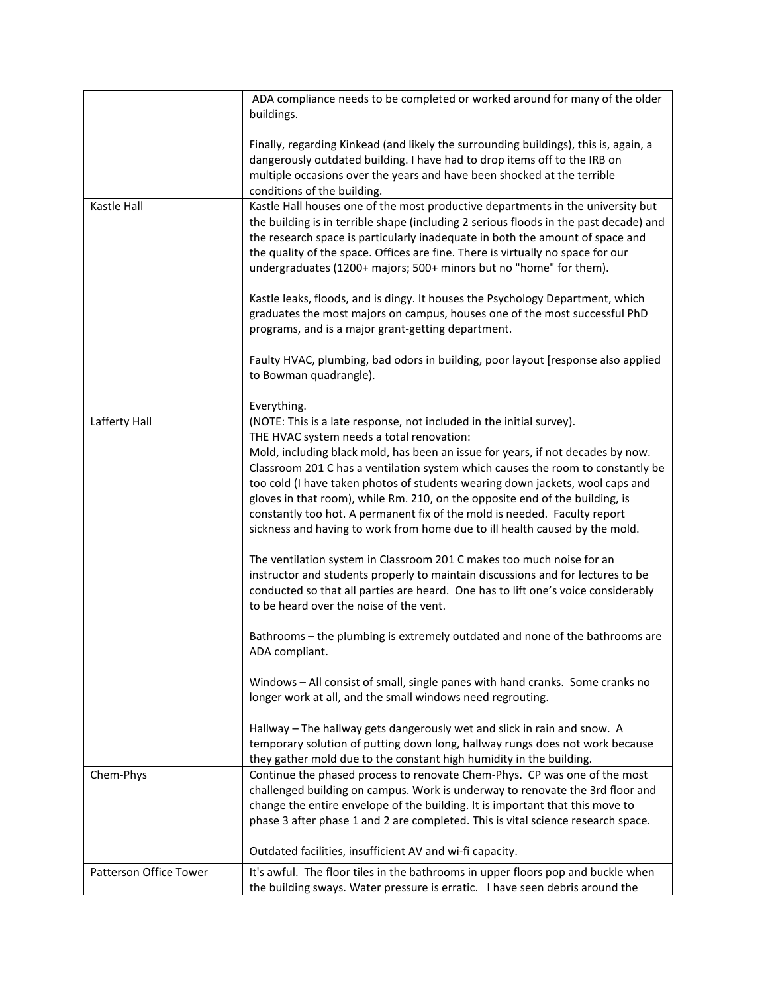|                        | ADA compliance needs to be completed or worked around for many of the older<br>buildings.                                                                                                                                                                                                                                                                                                                                                                                                       |
|------------------------|-------------------------------------------------------------------------------------------------------------------------------------------------------------------------------------------------------------------------------------------------------------------------------------------------------------------------------------------------------------------------------------------------------------------------------------------------------------------------------------------------|
|                        | Finally, regarding Kinkead (and likely the surrounding buildings), this is, again, a<br>dangerously outdated building. I have had to drop items off to the IRB on<br>multiple occasions over the years and have been shocked at the terrible<br>conditions of the building.                                                                                                                                                                                                                     |
| Kastle Hall            | Kastle Hall houses one of the most productive departments in the university but<br>the building is in terrible shape (including 2 serious floods in the past decade) and<br>the research space is particularly inadequate in both the amount of space and<br>the quality of the space. Offices are fine. There is virtually no space for our<br>undergraduates (1200+ majors; 500+ minors but no "home" for them).                                                                              |
|                        | Kastle leaks, floods, and is dingy. It houses the Psychology Department, which<br>graduates the most majors on campus, houses one of the most successful PhD<br>programs, and is a major grant-getting department.                                                                                                                                                                                                                                                                              |
|                        | Faulty HVAC, plumbing, bad odors in building, poor layout [response also applied<br>to Bowman quadrangle).                                                                                                                                                                                                                                                                                                                                                                                      |
|                        | Everything.                                                                                                                                                                                                                                                                                                                                                                                                                                                                                     |
| Lafferty Hall          | (NOTE: This is a late response, not included in the initial survey).<br>THE HVAC system needs a total renovation:                                                                                                                                                                                                                                                                                                                                                                               |
|                        | Mold, including black mold, has been an issue for years, if not decades by now.<br>Classroom 201 C has a ventilation system which causes the room to constantly be<br>too cold (I have taken photos of students wearing down jackets, wool caps and<br>gloves in that room), while Rm. 210, on the opposite end of the building, is<br>constantly too hot. A permanent fix of the mold is needed. Faculty report<br>sickness and having to work from home due to ill health caused by the mold. |
|                        | The ventilation system in Classroom 201 C makes too much noise for an<br>instructor and students properly to maintain discussions and for lectures to be<br>conducted so that all parties are heard. One has to lift one's voice considerably<br>to be heard over the noise of the vent.                                                                                                                                                                                                        |
|                        | Bathrooms - the plumbing is extremely outdated and none of the bathrooms are<br>ADA compliant.                                                                                                                                                                                                                                                                                                                                                                                                  |
|                        | Windows - All consist of small, single panes with hand cranks. Some cranks no<br>longer work at all, and the small windows need regrouting.                                                                                                                                                                                                                                                                                                                                                     |
|                        | Hallway - The hallway gets dangerously wet and slick in rain and snow. A<br>temporary solution of putting down long, hallway rungs does not work because<br>they gather mold due to the constant high humidity in the building.                                                                                                                                                                                                                                                                 |
| Chem-Phys              | Continue the phased process to renovate Chem-Phys. CP was one of the most<br>challenged building on campus. Work is underway to renovate the 3rd floor and<br>change the entire envelope of the building. It is important that this move to<br>phase 3 after phase 1 and 2 are completed. This is vital science research space.                                                                                                                                                                 |
|                        | Outdated facilities, insufficient AV and wi-fi capacity.                                                                                                                                                                                                                                                                                                                                                                                                                                        |
| Patterson Office Tower | It's awful. The floor tiles in the bathrooms in upper floors pop and buckle when<br>the building sways. Water pressure is erratic. I have seen debris around the                                                                                                                                                                                                                                                                                                                                |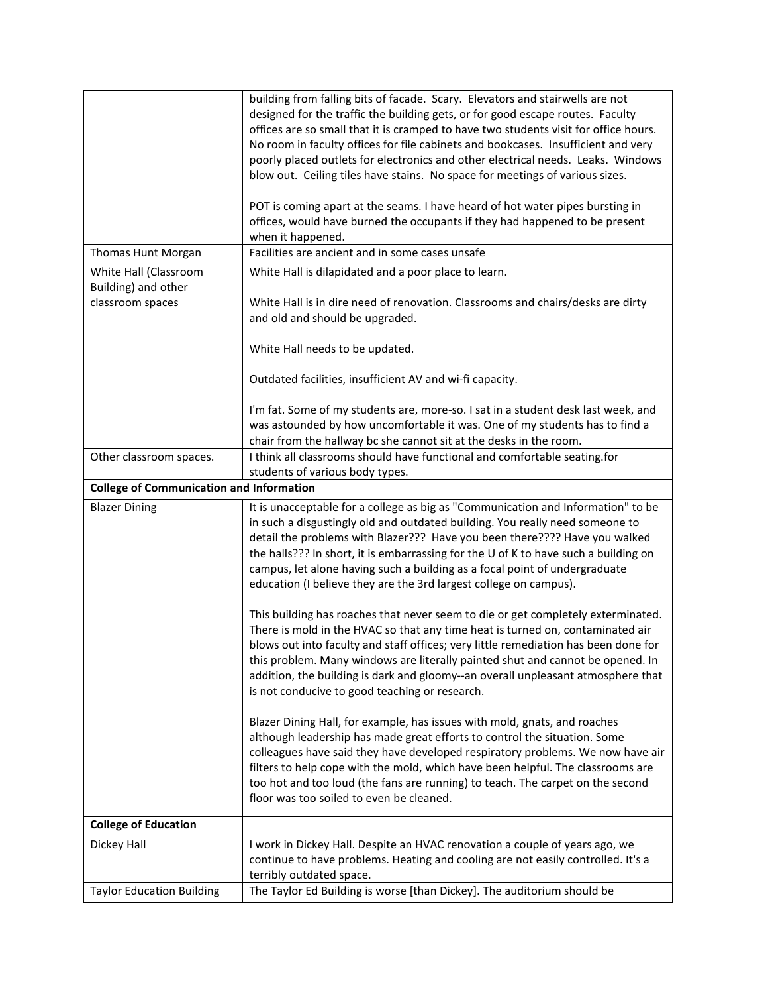|                                                 | building from falling bits of facade. Scary. Elevators and stairwells are not<br>designed for the traffic the building gets, or for good escape routes. Faculty<br>offices are so small that it is cramped to have two students visit for office hours.<br>No room in faculty offices for file cabinets and bookcases. Insufficient and very                                                                                                                                             |
|-------------------------------------------------|------------------------------------------------------------------------------------------------------------------------------------------------------------------------------------------------------------------------------------------------------------------------------------------------------------------------------------------------------------------------------------------------------------------------------------------------------------------------------------------|
|                                                 | poorly placed outlets for electronics and other electrical needs. Leaks. Windows<br>blow out. Ceiling tiles have stains. No space for meetings of various sizes.                                                                                                                                                                                                                                                                                                                         |
|                                                 | POT is coming apart at the seams. I have heard of hot water pipes bursting in<br>offices, would have burned the occupants if they had happened to be present                                                                                                                                                                                                                                                                                                                             |
|                                                 | when it happened.                                                                                                                                                                                                                                                                                                                                                                                                                                                                        |
| Thomas Hunt Morgan                              | Facilities are ancient and in some cases unsafe                                                                                                                                                                                                                                                                                                                                                                                                                                          |
| White Hall (Classroom                           | White Hall is dilapidated and a poor place to learn.                                                                                                                                                                                                                                                                                                                                                                                                                                     |
| Building) and other                             |                                                                                                                                                                                                                                                                                                                                                                                                                                                                                          |
| classroom spaces                                | White Hall is in dire need of renovation. Classrooms and chairs/desks are dirty<br>and old and should be upgraded.                                                                                                                                                                                                                                                                                                                                                                       |
|                                                 | White Hall needs to be updated.                                                                                                                                                                                                                                                                                                                                                                                                                                                          |
|                                                 | Outdated facilities, insufficient AV and wi-fi capacity.                                                                                                                                                                                                                                                                                                                                                                                                                                 |
|                                                 | I'm fat. Some of my students are, more-so. I sat in a student desk last week, and                                                                                                                                                                                                                                                                                                                                                                                                        |
|                                                 | was astounded by how uncomfortable it was. One of my students has to find a                                                                                                                                                                                                                                                                                                                                                                                                              |
|                                                 | chair from the hallway bc she cannot sit at the desks in the room.                                                                                                                                                                                                                                                                                                                                                                                                                       |
| Other classroom spaces.                         | I think all classrooms should have functional and comfortable seating.for<br>students of various body types.                                                                                                                                                                                                                                                                                                                                                                             |
| <b>College of Communication and Information</b> |                                                                                                                                                                                                                                                                                                                                                                                                                                                                                          |
| <b>Blazer Dining</b>                            | It is unacceptable for a college as big as "Communication and Information" to be<br>in such a disgustingly old and outdated building. You really need someone to<br>detail the problems with Blazer??? Have you been there???? Have you walked<br>the halls??? In short, it is embarrassing for the U of K to have such a building on<br>campus, let alone having such a building as a focal point of undergraduate<br>education (I believe they are the 3rd largest college on campus). |
|                                                 | This building has roaches that never seem to die or get completely exterminated.<br>There is mold in the HVAC so that any time heat is turned on, contaminated air<br>blows out into faculty and staff offices; very little remediation has been done for<br>this problem. Many windows are literally painted shut and cannot be opened. In<br>addition, the building is dark and gloomy--an overall unpleasant atmosphere that<br>is not conducive to good teaching or research.        |
|                                                 | Blazer Dining Hall, for example, has issues with mold, gnats, and roaches<br>although leadership has made great efforts to control the situation. Some<br>colleagues have said they have developed respiratory problems. We now have air<br>filters to help cope with the mold, which have been helpful. The classrooms are<br>too hot and too loud (the fans are running) to teach. The carpet on the second<br>floor was too soiled to even be cleaned.                                |
| <b>College of Education</b>                     |                                                                                                                                                                                                                                                                                                                                                                                                                                                                                          |
| Dickey Hall                                     | I work in Dickey Hall. Despite an HVAC renovation a couple of years ago, we<br>continue to have problems. Heating and cooling are not easily controlled. It's a<br>terribly outdated space.                                                                                                                                                                                                                                                                                              |
| <b>Taylor Education Building</b>                | The Taylor Ed Building is worse [than Dickey]. The auditorium should be                                                                                                                                                                                                                                                                                                                                                                                                                  |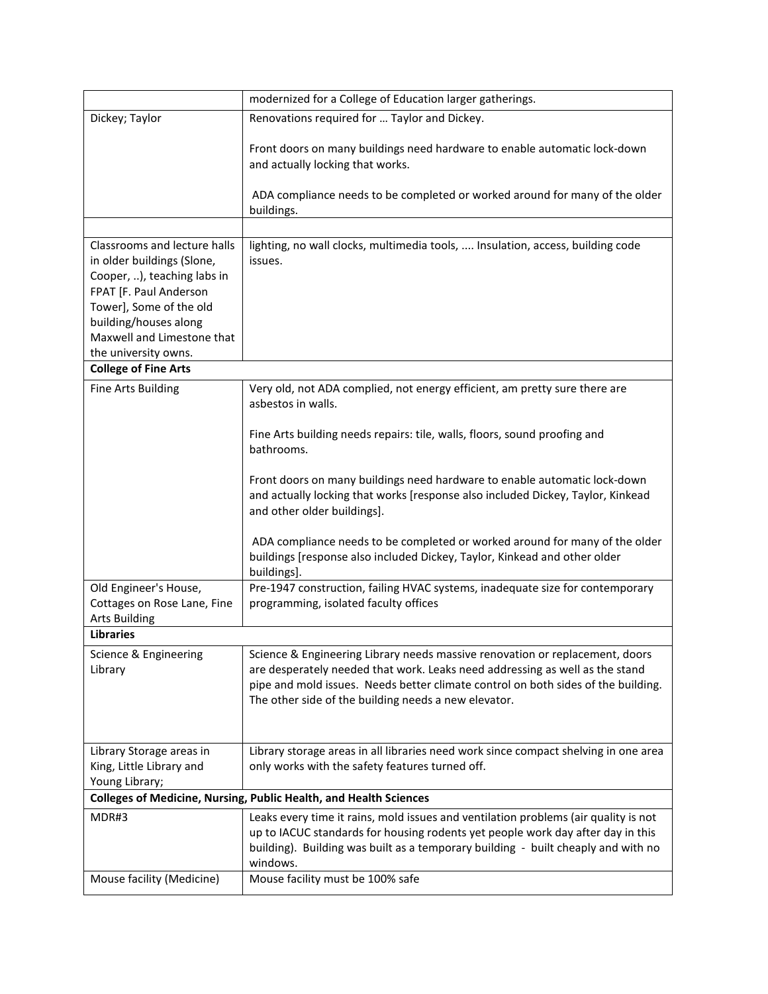|                                                                                                                                                                                                                               | modernized for a College of Education larger gatherings.                                                                                                                                                                                                                                                  |
|-------------------------------------------------------------------------------------------------------------------------------------------------------------------------------------------------------------------------------|-----------------------------------------------------------------------------------------------------------------------------------------------------------------------------------------------------------------------------------------------------------------------------------------------------------|
| Dickey; Taylor                                                                                                                                                                                                                | Renovations required for  Taylor and Dickey.                                                                                                                                                                                                                                                              |
|                                                                                                                                                                                                                               | Front doors on many buildings need hardware to enable automatic lock-down<br>and actually locking that works.<br>ADA compliance needs to be completed or worked around for many of the older                                                                                                              |
|                                                                                                                                                                                                                               | buildings.                                                                                                                                                                                                                                                                                                |
|                                                                                                                                                                                                                               |                                                                                                                                                                                                                                                                                                           |
| Classrooms and lecture halls<br>in older buildings (Slone,<br>Cooper, ), teaching labs in<br>FPAT [F. Paul Anderson<br>Tower], Some of the old<br>building/houses along<br>Maxwell and Limestone that<br>the university owns. | lighting, no wall clocks, multimedia tools,  Insulation, access, building code<br>issues.                                                                                                                                                                                                                 |
| <b>College of Fine Arts</b>                                                                                                                                                                                                   |                                                                                                                                                                                                                                                                                                           |
| Fine Arts Building                                                                                                                                                                                                            | Very old, not ADA complied, not energy efficient, am pretty sure there are<br>asbestos in walls.                                                                                                                                                                                                          |
|                                                                                                                                                                                                                               | Fine Arts building needs repairs: tile, walls, floors, sound proofing and<br>bathrooms.                                                                                                                                                                                                                   |
|                                                                                                                                                                                                                               | Front doors on many buildings need hardware to enable automatic lock-down<br>and actually locking that works [response also included Dickey, Taylor, Kinkead<br>and other older buildings].                                                                                                               |
|                                                                                                                                                                                                                               | ADA compliance needs to be completed or worked around for many of the older<br>buildings [response also included Dickey, Taylor, Kinkead and other older<br>buildings].                                                                                                                                   |
| Old Engineer's House,<br>Cottages on Rose Lane, Fine<br><b>Arts Building</b>                                                                                                                                                  | Pre-1947 construction, failing HVAC systems, inadequate size for contemporary<br>programming, isolated faculty offices                                                                                                                                                                                    |
| <b>Libraries</b>                                                                                                                                                                                                              |                                                                                                                                                                                                                                                                                                           |
| Science & Engineering<br>Library                                                                                                                                                                                              | Science & Engineering Library needs massive renovation or replacement, doors<br>are desperately needed that work. Leaks need addressing as well as the stand<br>pipe and mold issues. Needs better climate control on both sides of the building.<br>The other side of the building needs a new elevator. |
| Library Storage areas in                                                                                                                                                                                                      | Library storage areas in all libraries need work since compact shelving in one area                                                                                                                                                                                                                       |
| King, Little Library and<br>Young Library;                                                                                                                                                                                    | only works with the safety features turned off.                                                                                                                                                                                                                                                           |
|                                                                                                                                                                                                                               | Colleges of Medicine, Nursing, Public Health, and Health Sciences                                                                                                                                                                                                                                         |
| MDR#3                                                                                                                                                                                                                         | Leaks every time it rains, mold issues and ventilation problems (air quality is not<br>up to IACUC standards for housing rodents yet people work day after day in this<br>building). Building was built as a temporary building - built cheaply and with no<br>windows.                                   |
| Mouse facility (Medicine)                                                                                                                                                                                                     | Mouse facility must be 100% safe                                                                                                                                                                                                                                                                          |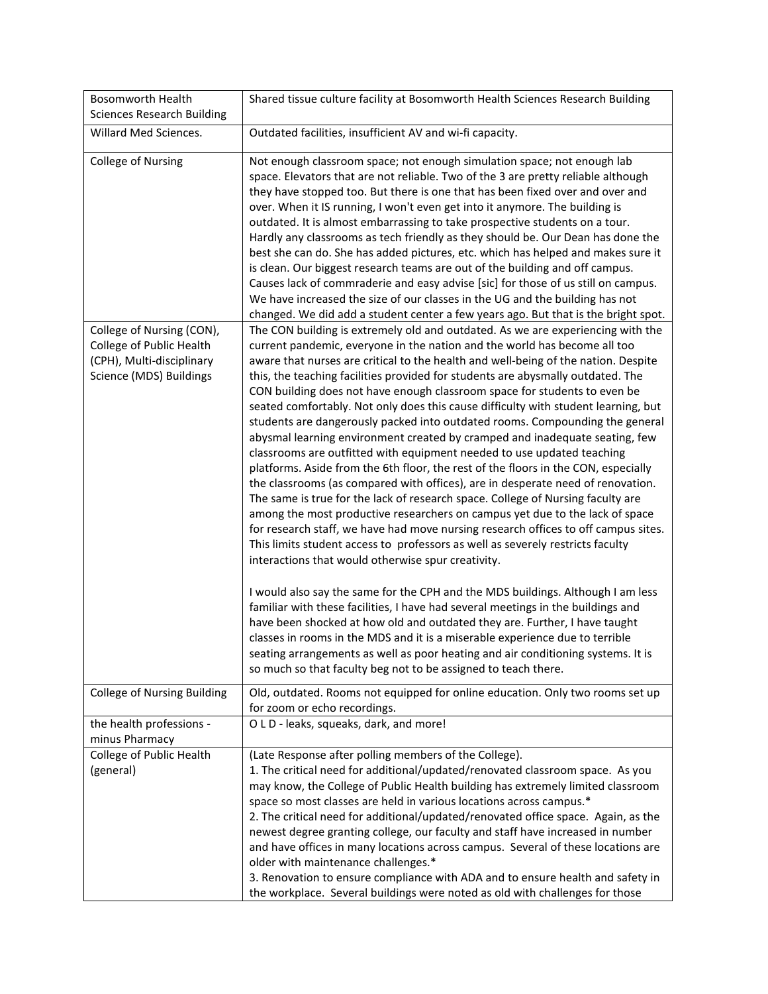| <b>Bosomworth Health</b><br><b>Sciences Research Building</b>                                                 | Shared tissue culture facility at Bosomworth Health Sciences Research Building                                                                                                                                                                                                                                                                                                                                                                                                                                                                                                                                                                                                                                                                                                                                                                                                                                                                                                                                                                                                                                                                                                                                                                                                                                                                                                                                                                                                                                                                                                                                                                                                                                                                                                                                         |
|---------------------------------------------------------------------------------------------------------------|------------------------------------------------------------------------------------------------------------------------------------------------------------------------------------------------------------------------------------------------------------------------------------------------------------------------------------------------------------------------------------------------------------------------------------------------------------------------------------------------------------------------------------------------------------------------------------------------------------------------------------------------------------------------------------------------------------------------------------------------------------------------------------------------------------------------------------------------------------------------------------------------------------------------------------------------------------------------------------------------------------------------------------------------------------------------------------------------------------------------------------------------------------------------------------------------------------------------------------------------------------------------------------------------------------------------------------------------------------------------------------------------------------------------------------------------------------------------------------------------------------------------------------------------------------------------------------------------------------------------------------------------------------------------------------------------------------------------------------------------------------------------------------------------------------------------|
| Willard Med Sciences.                                                                                         | Outdated facilities, insufficient AV and wi-fi capacity.                                                                                                                                                                                                                                                                                                                                                                                                                                                                                                                                                                                                                                                                                                                                                                                                                                                                                                                                                                                                                                                                                                                                                                                                                                                                                                                                                                                                                                                                                                                                                                                                                                                                                                                                                               |
| <b>College of Nursing</b>                                                                                     | Not enough classroom space; not enough simulation space; not enough lab<br>space. Elevators that are not reliable. Two of the 3 are pretty reliable although<br>they have stopped too. But there is one that has been fixed over and over and<br>over. When it IS running, I won't even get into it anymore. The building is<br>outdated. It is almost embarrassing to take prospective students on a tour.<br>Hardly any classrooms as tech friendly as they should be. Our Dean has done the<br>best she can do. She has added pictures, etc. which has helped and makes sure it<br>is clean. Our biggest research teams are out of the building and off campus.<br>Causes lack of commraderie and easy advise [sic] for those of us still on campus.<br>We have increased the size of our classes in the UG and the building has not<br>changed. We did add a student center a few years ago. But that is the bright spot.                                                                                                                                                                                                                                                                                                                                                                                                                                                                                                                                                                                                                                                                                                                                                                                                                                                                                          |
| College of Nursing (CON),<br>College of Public Health<br>(CPH), Multi-disciplinary<br>Science (MDS) Buildings | The CON building is extremely old and outdated. As we are experiencing with the<br>current pandemic, everyone in the nation and the world has become all too<br>aware that nurses are critical to the health and well-being of the nation. Despite<br>this, the teaching facilities provided for students are abysmally outdated. The<br>CON building does not have enough classroom space for students to even be<br>seated comfortably. Not only does this cause difficulty with student learning, but<br>students are dangerously packed into outdated rooms. Compounding the general<br>abysmal learning environment created by cramped and inadequate seating, few<br>classrooms are outfitted with equipment needed to use updated teaching<br>platforms. Aside from the 6th floor, the rest of the floors in the CON, especially<br>the classrooms (as compared with offices), are in desperate need of renovation.<br>The same is true for the lack of research space. College of Nursing faculty are<br>among the most productive researchers on campus yet due to the lack of space<br>for research staff, we have had move nursing research offices to off campus sites.<br>This limits student access to professors as well as severely restricts faculty<br>interactions that would otherwise spur creativity.<br>I would also say the same for the CPH and the MDS buildings. Although I am less<br>familiar with these facilities, I have had several meetings in the buildings and<br>have been shocked at how old and outdated they are. Further, I have taught<br>classes in rooms in the MDS and it is a miserable experience due to terrible<br>seating arrangements as well as poor heating and air conditioning systems. It is<br>so much so that faculty beg not to be assigned to teach there. |
| College of Nursing Building                                                                                   | Old, outdated. Rooms not equipped for online education. Only two rooms set up<br>for zoom or echo recordings.                                                                                                                                                                                                                                                                                                                                                                                                                                                                                                                                                                                                                                                                                                                                                                                                                                                                                                                                                                                                                                                                                                                                                                                                                                                                                                                                                                                                                                                                                                                                                                                                                                                                                                          |
| the health professions -<br>minus Pharmacy                                                                    | O L D - leaks, squeaks, dark, and more!                                                                                                                                                                                                                                                                                                                                                                                                                                                                                                                                                                                                                                                                                                                                                                                                                                                                                                                                                                                                                                                                                                                                                                                                                                                                                                                                                                                                                                                                                                                                                                                                                                                                                                                                                                                |
| College of Public Health<br>(general)                                                                         | (Late Response after polling members of the College).<br>1. The critical need for additional/updated/renovated classroom space. As you<br>may know, the College of Public Health building has extremely limited classroom<br>space so most classes are held in various locations across campus.*<br>2. The critical need for additional/updated/renovated office space. Again, as the<br>newest degree granting college, our faculty and staff have increased in number<br>and have offices in many locations across campus. Several of these locations are<br>older with maintenance challenges.*<br>3. Renovation to ensure compliance with ADA and to ensure health and safety in<br>the workplace. Several buildings were noted as old with challenges for those                                                                                                                                                                                                                                                                                                                                                                                                                                                                                                                                                                                                                                                                                                                                                                                                                                                                                                                                                                                                                                                   |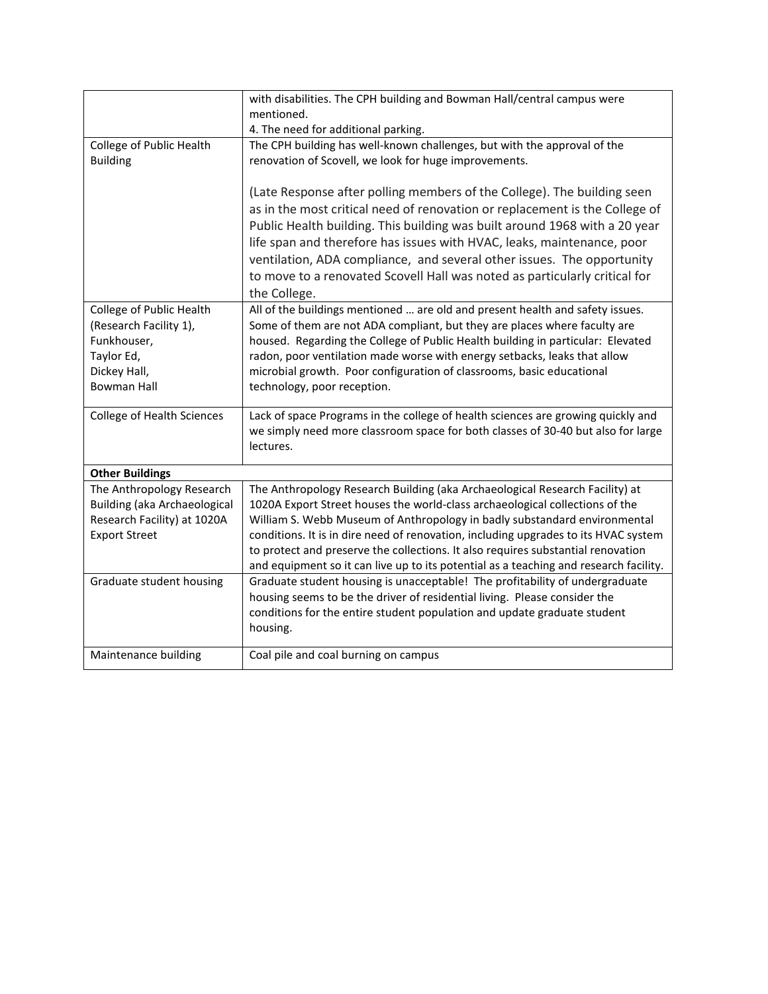| with disabilities. The CPH building and Bowman Hall/central campus were                                                                                                                                                         |  |
|---------------------------------------------------------------------------------------------------------------------------------------------------------------------------------------------------------------------------------|--|
| mentioned.                                                                                                                                                                                                                      |  |
| 4. The need for additional parking.                                                                                                                                                                                             |  |
| The CPH building has well-known challenges, but with the approval of the<br>College of Public Health                                                                                                                            |  |
| <b>Building</b><br>renovation of Scovell, we look for huge improvements.                                                                                                                                                        |  |
|                                                                                                                                                                                                                                 |  |
| (Late Response after polling members of the College). The building seen                                                                                                                                                         |  |
| as in the most critical need of renovation or replacement is the College of                                                                                                                                                     |  |
| Public Health building. This building was built around 1968 with a 20 year                                                                                                                                                      |  |
| life span and therefore has issues with HVAC, leaks, maintenance, poor                                                                                                                                                          |  |
| ventilation, ADA compliance, and several other issues. The opportunity                                                                                                                                                          |  |
| to move to a renovated Scovell Hall was noted as particularly critical for                                                                                                                                                      |  |
| the College.                                                                                                                                                                                                                    |  |
| College of Public Health<br>All of the buildings mentioned  are old and present health and safety issues.                                                                                                                       |  |
| (Research Facility 1),<br>Some of them are not ADA compliant, but they are places where faculty are                                                                                                                             |  |
| housed. Regarding the College of Public Health building in particular: Elevated<br>Funkhouser,                                                                                                                                  |  |
| radon, poor ventilation made worse with energy setbacks, leaks that allow<br>Taylor Ed,                                                                                                                                         |  |
| Dickey Hall,<br>microbial growth. Poor configuration of classrooms, basic educational                                                                                                                                           |  |
| <b>Bowman Hall</b><br>technology, poor reception.                                                                                                                                                                               |  |
|                                                                                                                                                                                                                                 |  |
| Lack of space Programs in the college of health sciences are growing quickly and<br>College of Health Sciences                                                                                                                  |  |
| we simply need more classroom space for both classes of 30-40 but also for large                                                                                                                                                |  |
| lectures.                                                                                                                                                                                                                       |  |
|                                                                                                                                                                                                                                 |  |
| <b>Other Buildings</b>                                                                                                                                                                                                          |  |
| The Anthropology Research Building (aka Archaeological Research Facility) at<br>The Anthropology Research                                                                                                                       |  |
| <b>Building (aka Archaeological</b><br>1020A Export Street houses the world-class archaeological collections of the<br>Research Facility) at 1020A<br>William S. Webb Museum of Anthropology in badly substandard environmental |  |
| <b>Export Street</b><br>conditions. It is in dire need of renovation, including upgrades to its HVAC system                                                                                                                     |  |
| to protect and preserve the collections. It also requires substantial renovation                                                                                                                                                |  |
| and equipment so it can live up to its potential as a teaching and research facility.                                                                                                                                           |  |
| Graduate student housing<br>Graduate student housing is unacceptable! The profitability of undergraduate                                                                                                                        |  |
|                                                                                                                                                                                                                                 |  |
|                                                                                                                                                                                                                                 |  |
| housing seems to be the driver of residential living. Please consider the                                                                                                                                                       |  |
| conditions for the entire student population and update graduate student                                                                                                                                                        |  |
| housing.                                                                                                                                                                                                                        |  |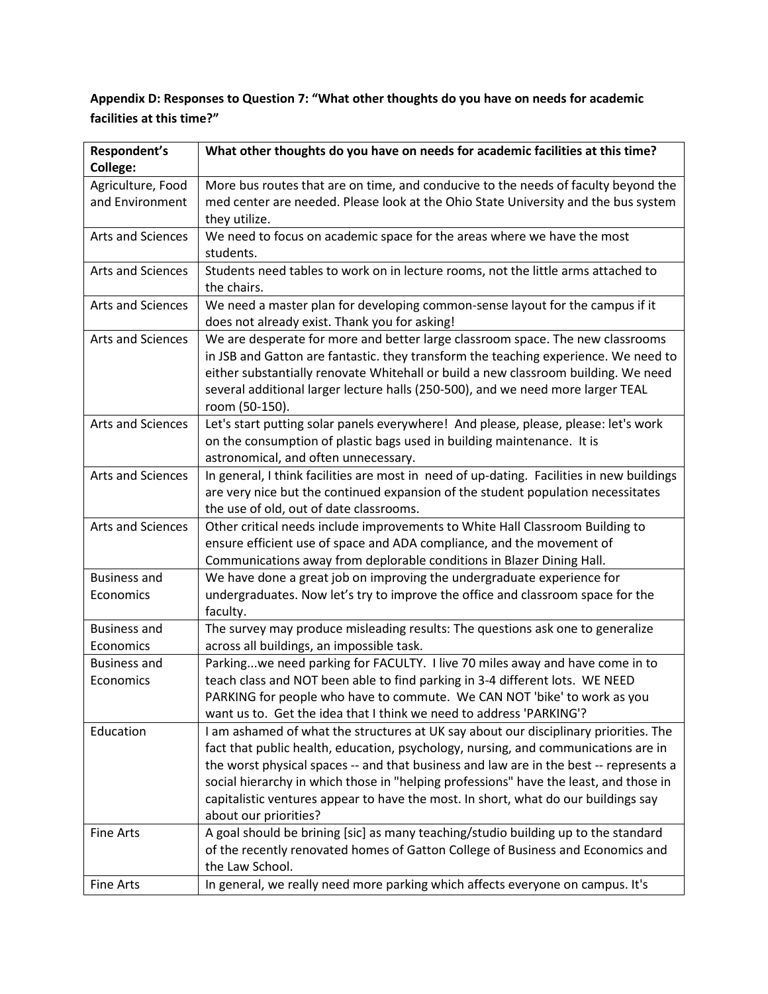# **Appendix D: Responses to Question 7: "What other thoughts do you have on needs for academic facilities at this time?"**

| Respondent's             | What other thoughts do you have on needs for academic facilities at this time?                                                                                                                                                                                                                                                                                   |
|--------------------------|------------------------------------------------------------------------------------------------------------------------------------------------------------------------------------------------------------------------------------------------------------------------------------------------------------------------------------------------------------------|
| <b>College:</b>          |                                                                                                                                                                                                                                                                                                                                                                  |
| Agriculture, Food        | More bus routes that are on time, and conducive to the needs of faculty beyond the                                                                                                                                                                                                                                                                               |
| and Environment          | med center are needed. Please look at the Ohio State University and the bus system                                                                                                                                                                                                                                                                               |
|                          | they utilize.                                                                                                                                                                                                                                                                                                                                                    |
| <b>Arts and Sciences</b> | We need to focus on academic space for the areas where we have the most                                                                                                                                                                                                                                                                                          |
|                          | students.                                                                                                                                                                                                                                                                                                                                                        |
| <b>Arts and Sciences</b> | Students need tables to work on in lecture rooms, not the little arms attached to<br>the chairs.                                                                                                                                                                                                                                                                 |
| Arts and Sciences        | We need a master plan for developing common-sense layout for the campus if it<br>does not already exist. Thank you for asking!                                                                                                                                                                                                                                   |
| Arts and Sciences        | We are desperate for more and better large classroom space. The new classrooms<br>in JSB and Gatton are fantastic. they transform the teaching experience. We need to<br>either substantially renovate Whitehall or build a new classroom building. We need<br>several additional larger lecture halls (250-500), and we need more larger TEAL<br>room (50-150). |
| Arts and Sciences        | Let's start putting solar panels everywhere! And please, please, please: let's work<br>on the consumption of plastic bags used in building maintenance. It is<br>astronomical, and often unnecessary.                                                                                                                                                            |
| Arts and Sciences        | In general, I think facilities are most in need of up-dating. Facilities in new buildings<br>are very nice but the continued expansion of the student population necessitates<br>the use of old, out of date classrooms.                                                                                                                                         |
| Arts and Sciences        | Other critical needs include improvements to White Hall Classroom Building to<br>ensure efficient use of space and ADA compliance, and the movement of<br>Communications away from deplorable conditions in Blazer Dining Hall.                                                                                                                                  |
| <b>Business and</b>      | We have done a great job on improving the undergraduate experience for                                                                                                                                                                                                                                                                                           |
| Economics                | undergraduates. Now let's try to improve the office and classroom space for the<br>faculty.                                                                                                                                                                                                                                                                      |
| <b>Business and</b>      | The survey may produce misleading results: The questions ask one to generalize                                                                                                                                                                                                                                                                                   |
| Economics                | across all buildings, an impossible task.                                                                                                                                                                                                                                                                                                                        |
| <b>Business and</b>      | Parkingwe need parking for FACULTY. I live 70 miles away and have come in to                                                                                                                                                                                                                                                                                     |
| Economics                | teach class and NOT been able to find parking in 3-4 different lots. WE NEED                                                                                                                                                                                                                                                                                     |
|                          | PARKING for people who have to commute. We CAN NOT 'bike' to work as you                                                                                                                                                                                                                                                                                         |
|                          | want us to. Get the idea that I think we need to address 'PARKING'?                                                                                                                                                                                                                                                                                              |
| Education                | I am ashamed of what the structures at UK say about our disciplinary priorities. The                                                                                                                                                                                                                                                                             |
|                          | fact that public health, education, psychology, nursing, and communications are in                                                                                                                                                                                                                                                                               |
|                          | the worst physical spaces -- and that business and law are in the best -- represents a                                                                                                                                                                                                                                                                           |
|                          | social hierarchy in which those in "helping professions" have the least, and those in                                                                                                                                                                                                                                                                            |
|                          | capitalistic ventures appear to have the most. In short, what do our buildings say                                                                                                                                                                                                                                                                               |
|                          | about our priorities?                                                                                                                                                                                                                                                                                                                                            |
| <b>Fine Arts</b>         | A goal should be brining [sic] as many teaching/studio building up to the standard                                                                                                                                                                                                                                                                               |
|                          | of the recently renovated homes of Gatton College of Business and Economics and<br>the Law School.                                                                                                                                                                                                                                                               |
| <b>Fine Arts</b>         | In general, we really need more parking which affects everyone on campus. It's                                                                                                                                                                                                                                                                                   |